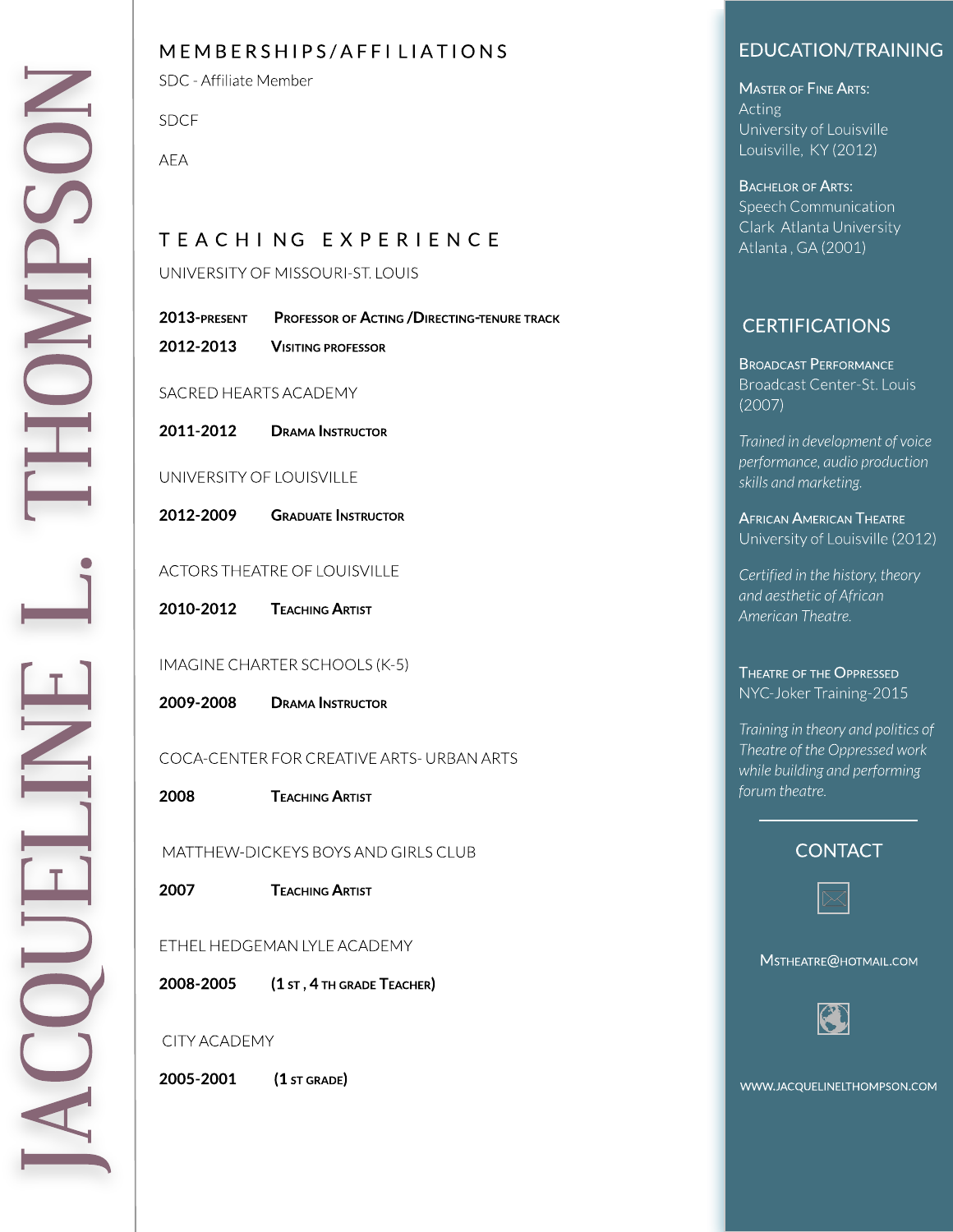### MEMBERSHIPS/AFFI LIATIONS

SDC - Affiliate Member

SD C F

A E A

# T E A C H I N G E X P E R I E N C E

UNIVERSITY OF MISSOURI-ST. LOUIS

| 2013-present | <b>PROFESSOR OF ACTING / DIRECTING-TENURE TRACK</b> |
|--------------|-----------------------------------------------------|
| 2012-2013    | <b>VISITING PROFESSOR</b>                           |

SACRED HEARTS ACADEMY

2011-2012 DRAMA INSTRUCTOR

#### UNIVERSITY OF LOUISVILLE

2012-2009 **GRADUATE INSTRUCTOR** 

#### ACTORS THEATRE OF LOUISVILLE

2010-2012 **TEACHING ARTIST** 

#### IMAGINE CHARTER SCHOOLS (K-5)

| 2009-2008 | <b>DRAMA INSTRUCTOR</b> |
|-----------|-------------------------|
|           |                         |

COCA-CENTER FOR CREATIVE ARTS- URBAN ARTS

2 0 0 8 TEACHING ARTIST

MATTHEW-DICKEYS BOYS AND GIRLS CLUB

2 0 0 7 **TEACHING ARTIST** 

#### ETHEL HEDGEMAN LYLE ACADEMY

2008-2005 (1 st , 4 th grade Teacher)

#### CITY ACADEMY

2005-2001 (1 ST GRADE)

## EDUCATION/TRAINING

**MASTER OF FINE ARTS:** A ctin g University of Louisville Louisville, KY (2012)

#### BACHELOR OF ARTS: Speech Communication Clark Atlanta University Atlanta , GA (2001)

# **CERTIFICATIONS**

BROADCAST PERFORMANCE Broadcast Center-St. Louis  $(2007)$ 

**Tra i ned i n devel opment of voi ce performance, audio production** skills and marketing.

African American Theatre University of Louisville (2012)

Certified in the history, theory **a nd aest het i c of Af r i ca n Amer i ca n T heat re.**

THEATRE OF THE OPPRESSED NYC-Joker Training-2015

**Tra i n i n g i n t heory a nd pol i t i cs of T heat re of t he O ppressed wor k wh i l e bu i l d i n g a nd perfor m i n g for u m t heat re.**

### **CONTACT**



MSTHEATRE@HOTMAIL.COM

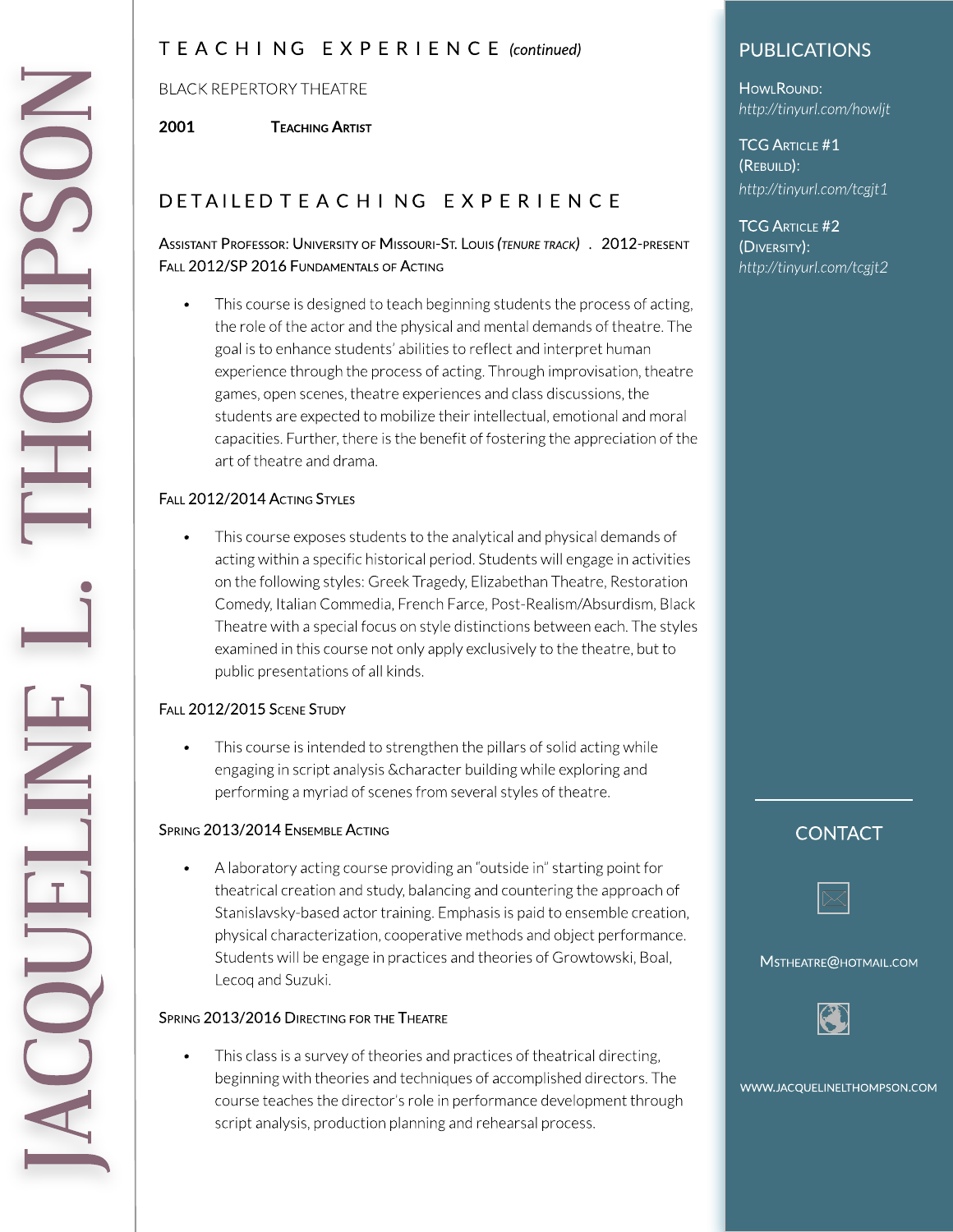### T E A C H I N G E X P E R I E N C E **(continued)**

#### BLACK REPERTORYTHEATRE

2001 **TEACHING ARTIST** 

# D ET AILED TE A CHING EXPERIENCE

#### ASSISTANT PROFESSOR: UNIVERSITY OF MISSOURI-ST.LOUIS**(TENURETRACK) .** 2012-PRESENT FALL 2012/SP 2016 FUNDAMENTALS OF ACTING

• This course is designed to teach beginning students the process of acting, the role of the actor and the physical and mental demands of theatre. The goal is to enhance students' abilities to reflect and interpret human experience through the process of acting. Through improvisation, theatre games, open scenes, theatre experiences and class discussions, the students are expected to mobilize their intellectual, emotional and moral capacities. Further, there is the benefit of fostering the appreciation of the art of theatre and drama.

#### FALL 2012/2014 ACTING STYLES

• This course exposes students to the analytical and physical demands of acting within a specific historical period. Students will engage in activities on the following styles: Greek Tragedy, Elizabethan Theatre, Restoration Comedy, Italian Commedia, French Farce, Post-Realism/Absurdism, Black Theatre with a special focus on style distinctions between each. The styles examined in this course not only apply exclusively to the theatre, but to public presentations of all kinds.

#### FALL 2012/2015 SCENE STUDY

This course is intended to strengthen the pillars of solid acting while engaging in script analysis & character building while exploring and performing a myriad of scenes from several styles of theatre.

#### SPRING 2013/2014 ENSEMBLE ACTING

A laboratory acting course providing an "outside in" starting point for theatrical creation and study, balancing and countering the approach of Stanislavsky-based actor training. Emphasis is paid to ensemble creation, physical characterization,cooperative methodsandobject performance. Students will be engage in practices and theories of Growtowski, Boal, Lecoq and Suzuki.

#### SPRING 2013/2016 DIRECTING FOR THE THEATRE

• This class is a survey of theories and practices of theatrical directing, beginning with theories and techniques of accomplished directors. The course teaches the director's role in performance development through script analysis, production planning and rehearsal process.

# PUBLICATIONS

**HOWLROUND: <http://tinyurl.com/howljt>**

**TCG ARTICLE #1** (REBUILD): **<http://tinyurl.com/tcgjt1>**

**TCG ARTICLE #2** (DIVERSITY): **<http://tinyurl.com/tcgjt2>**

### **CONTACT**



MSTHEATRE@HOTMAIL.COM

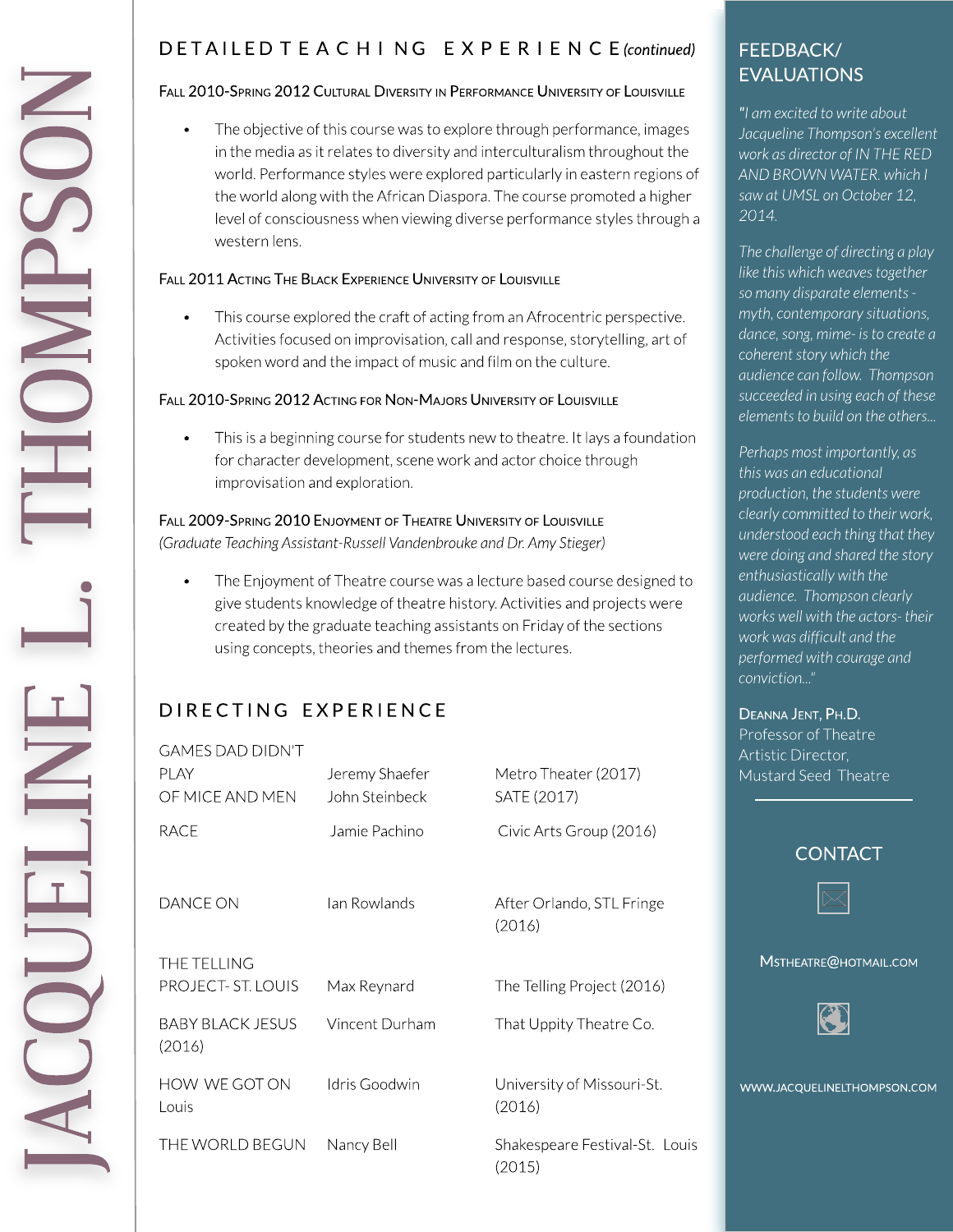# DETAILED TEACHING EXPERIENCE (continued)

#### FALL 2010-SPRING 2012 CULTURAL DIVERSITY IN PERFORMANCE UNIVERSITY OF LOUISVILLE

The objective of this course was to explore through performance, images in the media as it relates to diversity and interculturalism throughout the world. Performance styles were explored particularly in eastern regions of the world along with the African Diaspora. The course promoted a higher level of consciousness when viewing diverse performance styles through a western lens.

#### FALL 2011 ACTING THE BLACK EXPERIENCE UNIVERSITY OF LOUISVILLE

This course explored the craft of acting from an Afrocentric perspective. Activities focused on improvisation, call and response, storytelling, art of spoken word and the impact of music and film on the culture.

#### FALL 2010-SPRING 2012 ACTING FOR NON-MAJORS UNIVERSITY OF LOUISVILLE

This is a beginning course for students new to theatre. It lays a foundation  $\bullet$ for character development, scene work and actor choice through improvisation and exploration.

FALL 2009-SPRING 2010 ENJOYMENT OF THEATRE UNIVERSITY OF LOUISVILLE

(Graduate Teaching Assistant-Russell Vandenbrouke and Dr. Amy Stieger)

The Enjoyment of Theatre course was a lecture based course designed to give students knowledge of theatre history. Activities and projects were created by the graduate teaching assistants on Friday of the sections using concepts, theories and themes from the lectures.

# DIRECTING EXPERIENCE

| GAMES DAD DIDN'T                  |                                  |                                          |
|-----------------------------------|----------------------------------|------------------------------------------|
| <b>PLAY</b><br>OF MICF AND MEN    | Jeremy Shaefer<br>John Steinbeck | Metro Theater (2017)<br>SATE (2017)      |
| RACE                              | Jamie Pachino                    | Civic Arts Group (2016)                  |
| DANCE ON                          | Jan Rowlands                     | After Orlando, STL Fringe<br>(2016)      |
| THE TELLING<br>PROJECT- ST. LOUIS | Max Reynard                      | The Telling Project (2016)               |
| BABY BLACK JESUS<br>(2016)        | Vincent Durham                   | That Uppity Theatre Co.                  |
| HOW WE GOT ON<br>Louis            | Idris Goodwin                    | University of Missouri-St.<br>(2016)     |
| THE WORLD BEGUN                   | Nancy Bell                       | Shakespeare Festival-St. Louis<br>(2015) |

## FEEDBACK/ **EVALUATIONS**

"I am excited to write about Jacqueline Thompson's excellent work as director of IN THE RED AND BROWN WATER. which I saw at UMSL on October 12, 2014.

The challenge of directing a play like this which weaves together so many disparate elements myth, contemporary situations, dance, song, mime- is to create a coherent story which the audience can follow. Thompson succeeded in using each of these elements to build on the others...

Perhaps most importantly, as this was an educational production, the students were clearly committed to their work, understood each thing that they were doing and shared the story enthusiastically with the audience. Thompson clearly works well with the actors-their work was difficult and the performed with courage and conviction..."

#### DEANNA JENT, PH.D.

Professor of Theatre Artistic Director. Mustard Seed Theatre

#### **CONTACT**



MSTHEATRE@HOTMAIL.COM

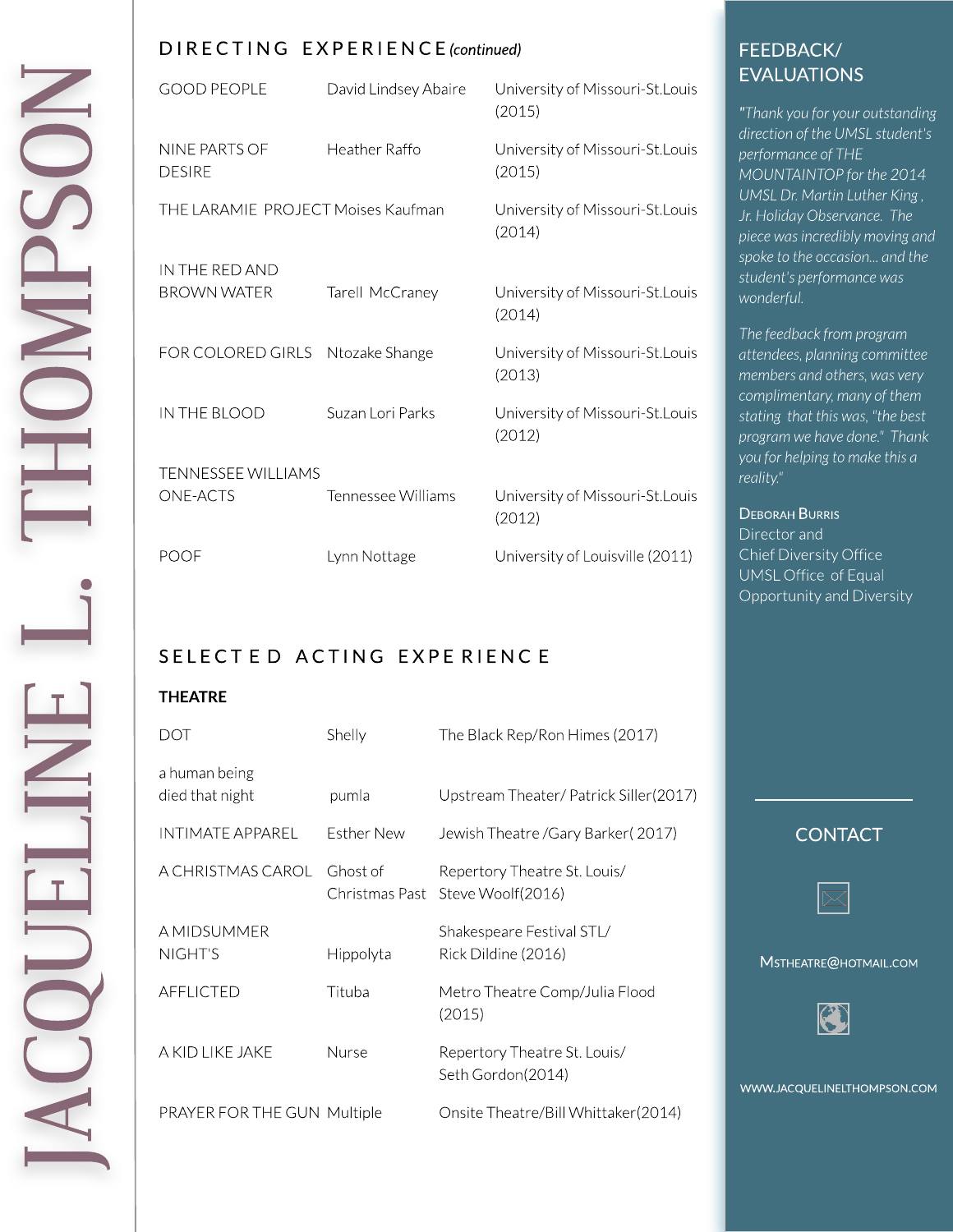#### D I REC T I N G EXPERI EN C E**(continued)**

| <b>GOOD PEOPLE</b>                 | David Lindsey Abaire | University of Missouri-St.Louis<br>(2015)  |
|------------------------------------|----------------------|--------------------------------------------|
| NINE PARTS OF<br><b>DESIRE</b>     | Heather Raffo        | University of Missouri-St. Louis<br>(2015) |
| THE LARAMIE PROJECT Moises Kaufman |                      | University of Missouri-St.Louis<br>(2014)  |
| IN THE RED AND                     |                      |                                            |
| <b>BROWN WATER</b>                 | Tarell McCraney      | University of Missouri-St.Louis<br>(2014)  |
| FOR COLORED GIRLS                  | Ntozake Shange       | University of Missouri-St. Louis<br>(2013) |
| IN THE BLOOD                       | Suzan Lori Parks     | University of Missouri-St. Louis<br>(2012) |
| TENNESSEE WILLIAMS                 |                      |                                            |
| <b>ONE-ACTS</b>                    | Tennessee Williams   | University of Missouri-St. Louis<br>(2012) |
| POOF                               | Lynn Nottage         | University of Louisville (2011)            |

### SELECTED ACTING EXPERIENCE

#### **THEATRE**

| DOT                              | Shelly                     | The Black Rep/Ron Himes (2017)                    |
|----------------------------------|----------------------------|---------------------------------------------------|
| a human being<br>died that night | pumla                      | Upstream Theater/ Patrick Siller(2017)            |
| INTIMATE APPAREL                 | Esther New                 | Jewish Theatre / Gary Barker (2017)               |
| A CHRISTMAS CAROL                | Ghost of<br>Christmas Past | Repertory Theatre St. Louis/<br>Steve Woolf(2016) |
| A MIDSUMMER<br>NIGHT'S           | Hippolyta                  | Shakespeare Festival STL/<br>Rick Dildine (2016)  |
| <b>AFFLICTED</b>                 | Tituba                     | Metro Theatre Comp/Julia Flood<br>(2015)          |
| A KID LIKE JAKE                  | Nurse                      | Repertory Theatre St. Louis/<br>Seth Gordon(2014) |
| PRAYER FOR THE GUN Multiple      |                            | Onsite Theatre/Bill Whittaker(2014)               |

# FEEDBACK/ EVALUATIONS

**"Thank you for your outstanding directionoftheUMSLstudent's** performance of THE **MOUNTAINTOP** for the 2014 UMSL Dr. Martin Luther King, **Jr.HolidayObservance. The piecewasincrediblymovingand** spoke to the occasion... and the student's performance was **wonderful.**

The feedback from program **attendees,planningcommittee membersandothers,wasvery** complimentary, many of them **stating that thiswas,"thebest programwehavedone." Thank youforhelpingtomakethisa reality."**

#### DEBORAH BURRIS Director and Chief Diversity Office UMSLOffice of Equal Opportunityand Diversity

### **CONTACT**



MSTHEATRE@HOTMAIL.COM